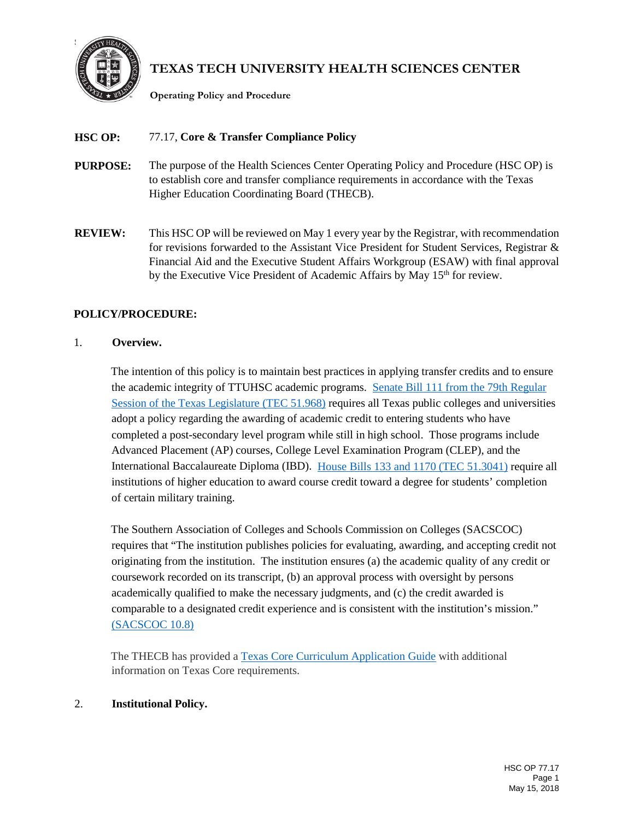

# **TEXAS TECH UNIVERSITY HEALTH SCIENCES CENTER**

**Operating Policy and Procedure**

# **HSC OP:** 77.17, **Core & Transfer Compliance Policy**

- **PURPOSE:** The purpose of the Health Sciences Center Operating Policy and Procedure (HSC OP) is to establish core and transfer compliance requirements in accordance with the Texas Higher Education Coordinating Board (THECB).
- **REVIEW:** This HSC OP will be reviewed on May 1 every year by the Registrar, with recommendation for revisions forwarded to the Assistant Vice President for Student Services, Registrar & Financial Aid and the Executive Student Affairs Workgroup (ESAW) with final approval by the Executive Vice President of Academic Affairs by May 15<sup>th</sup> for review.

# **POLICY/PROCEDURE:**

# 1. **Overview.**

The intention of this policy is to maintain best practices in applying transfer credits and to ensure the academic integrity of TTUHSC academic programs. [Senate Bill 111 from the 79th Regular](http://www.statutes.legis.state.tx.us/Docs/ED/htm/ED.51.htm)  [Session of the Texas Legislature \(TEC 51.968\)](http://www.statutes.legis.state.tx.us/Docs/ED/htm/ED.51.htm) requires all Texas public colleges and universities adopt a policy regarding the awarding of academic credit to entering students who have completed a post-secondary level program while still in high school. Those programs include Advanced Placement (AP) courses, College Level Examination Program (CLEP), and the International Baccalaureate Diploma (IBD). [House Bills 133 and 1170 \(TEC 51.3041\)](https://statutes.capitol.texas.gov/Docs/ED/htm/ED.51.htm) require all institutions of higher education to award course credit toward a degree for students' completion of certain military training.

The Southern Association of Colleges and Schools Commission on Colleges (SACSCOC) requires that "The institution publishes policies for evaluating, awarding, and accepting credit not originating from the institution. The institution ensures (a) the academic quality of any credit or coursework recorded on its transcript, (b) an approval process with oversight by persons academically qualified to make the necessary judgments, and (c) the credit awarded is comparable to a designated credit experience and is consistent with the institution's mission." [\(SACSCOC 10.8\)](http://www.sacscoc.org/pdf/2018PrinciplesOfAcreditation.pdf)

The THECB has provided a [Texas Core Curriculum Application Guide](http://www.thecb.state.tx.us/reports/pdf/6003.pdf?CFID=74647517&CFTOKEN=40577113) with additional information on Texas Core requirements.

# 2. **Institutional Policy.**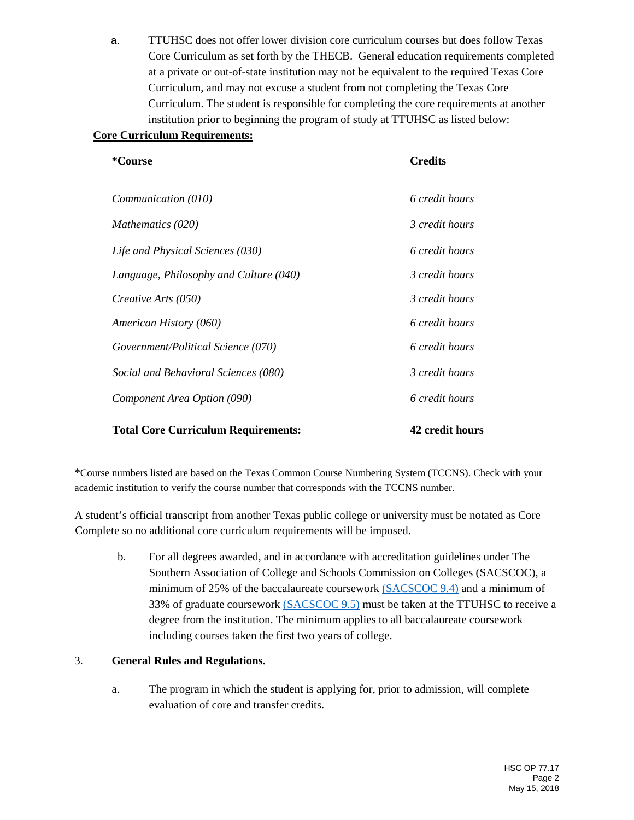a. TTUHSC does not offer lower division core curriculum courses but does follow Texas Core Curriculum as set forth by the THECB. General education requirements completed at a private or out-of-state institution may not be equivalent to the required Texas Core Curriculum, and may not excuse a student from not completing the Texas Core Curriculum. The student is responsible for completing the core requirements at another institution prior to beginning the program of study at TTUHSC as listed below:

#### **Core Curriculum Requirements:**

| *Course                                    | <b>Credits</b>  |
|--------------------------------------------|-----------------|
| Communication (010)                        | 6 credit hours  |
| Mathematics (020)                          | 3 credit hours  |
| Life and Physical Sciences (030)           | 6 credit hours  |
| Language, Philosophy and Culture (040)     | 3 credit hours  |
| Creative Arts (050)                        | 3 credit hours  |
| American History (060)                     | 6 credit hours  |
| Government/Political Science (070)         | 6 credit hours  |
| Social and Behavioral Sciences (080)       | 3 credit hours  |
| Component Area Option (090)                | 6 credit hours  |
| <b>Total Core Curriculum Requirements:</b> | 42 credit hours |

\*Course numbers listed are based on the Texas Common Course Numbering System (TCCNS). Check with your academic institution to verify the course number that corresponds with the TCCNS number.

A student's official transcript from another Texas public college or university must be notated as Core Complete so no additional core curriculum requirements will be imposed.

b. For all degrees awarded, and in accordance with accreditation guidelines under The Southern Association of College and Schools Commission on Colleges (SACSCOC[\),](http://www.sacscoc.org/pdf/2012PrinciplesOfAcreditation.pdf) a minimum of 25% of the baccalaureate coursework [\(SACSCOC 9.4\)](http://www.sacscoc.org/pdf/2018PrinciplesOfAcreditation.pdf) and a minimum of 33% of graduate coursework [\(SACSCOC 9.5\)](http://www.sacscoc.org/pdf/2018PrinciplesOfAcreditation.pdf) must be taken at the TTUHSC to receive a degree from the institution. The minimum applies to all baccalaureate coursework including courses taken the first two years of college.

# 3. **General Rules and Regulations.**

a. The program in which the student is applying for, prior to admission, will complete evaluation of core and transfer credits.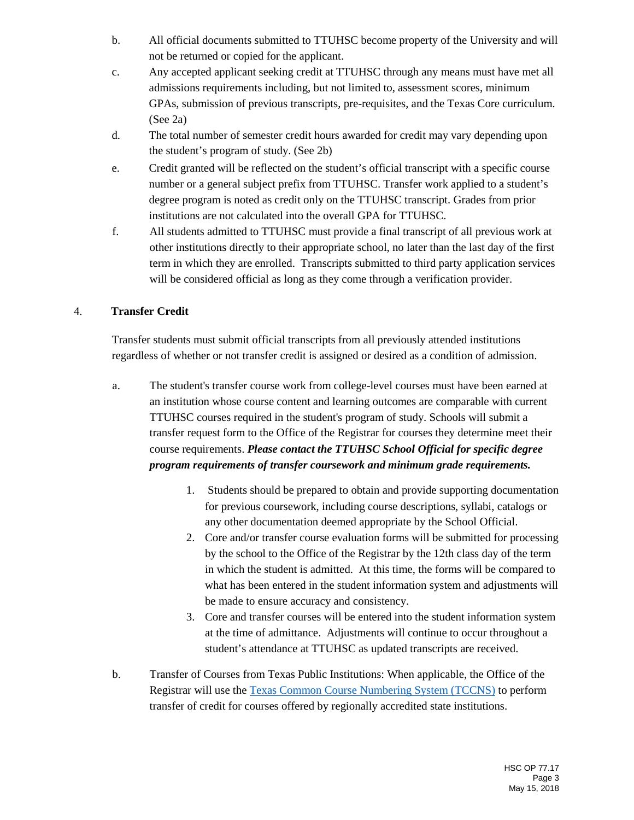- b. All official documents submitted to TTUHSC become property of the University and will not be returned or copied for the applicant.
- c. Any accepted applicant seeking credit at TTUHSC through any means must have met all admissions requirements including, but not limited to, assessment scores, minimum GPAs, submission of previous transcripts, pre-requisites, and the Texas Core curriculum. (See 2a)
- d. The total number of semester credit hours awarded for credit may vary depending upon the student's program of study. (See 2b)
- e. Credit granted will be reflected on the student's official transcript with a specific course number or a general subject prefix from TTUHSC. Transfer work applied to a student's degree program is noted as credit only on the TTUHSC transcript. Grades from prior institutions are not calculated into the overall GPA for TTUHSC.
- f. All students admitted to TTUHSC must provide a final transcript of all previous work at other institutions directly to their appropriate school, no later than the last day of the first term in which they are enrolled. Transcripts submitted to third party application services will be considered official as long as they come through a verification provider.

# 4. **Transfer Credit**

Transfer students must submit official transcripts from all previously attended institutions regardless of whether or not transfer credit is assigned or desired as a condition of admission.

- a. The student's transfer course work from college-level courses must have been earned at an institution whose course content and learning outcomes are comparable with current TTUHSC courses required in the student's program of study. Schools will submit a transfer request form to the Office of the Registrar for courses they determine meet their course requirements. *Please contact the TTUHSC School Official for specific degree program requirements of transfer coursework and minimum grade requirements.*
	- 1. Students should be prepared to obtain and provide supporting documentation for previous coursework, including course descriptions, syllabi, catalogs or any other documentation deemed appropriate by the School Official.
	- 2. Core and/or transfer course evaluation forms will be submitted for processing by the school to the Office of the Registrar by the 12th class day of the term in which the student is admitted. At this time, the forms will be compared to what has been entered in the student information system and adjustments will be made to ensure accuracy and consistency.
	- 3. Core and transfer courses will be entered into the student information system at the time of admittance. Adjustments will continue to occur throughout a student's attendance at TTUHSC as updated transcripts are received.
- b. Transfer of Courses from Texas Public Institutions: When applicable, the Office of the Registrar will use the [Texas Common Course Numbering System \(TCCNS\)](https://www.tccns.org/) to perform transfer of credit for courses offered by regionally accredited state institutions.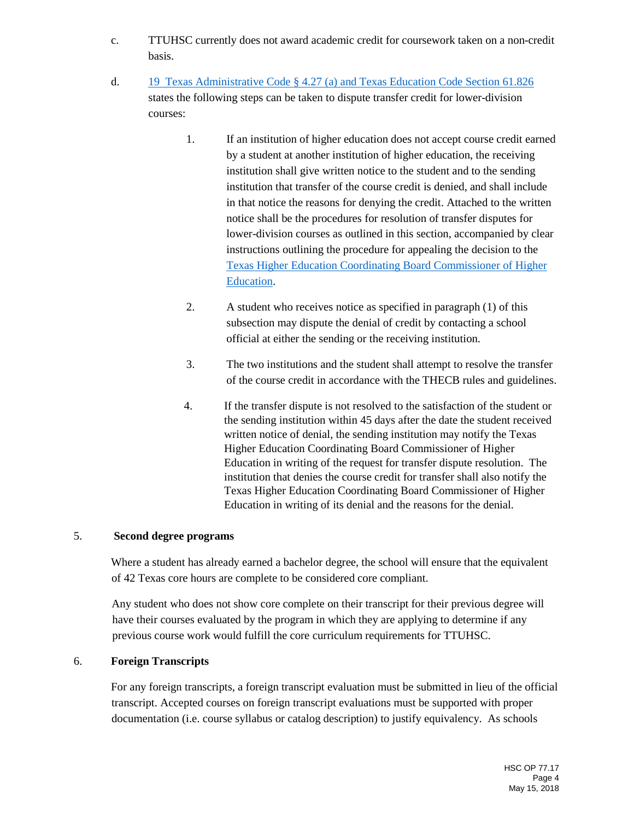- c. TTUHSC currently does not award academic credit for coursework taken on a non-credit basis.
- d. [19 Texas Administrative Code § 4.27 \(a\) and Texas Education Code Section 61.826](https://texreg.sos.state.tx.us/public/readtac$ext.TacPage?sl=R&app=9&p_dir=&p_rloc=&p_tloc=&p_ploc=&pg=1&p_tac=&ti=19&pt=1&ch=4&rl=27) states the following steps can be taken to dispute transfer credit for lower-division courses:
	- 1. If an institution of higher education does not accept course credit earned by a student at another institution of higher education, the receiving institution shall give written notice to the student and to the sending institution that transfer of the course credit is denied, and shall include in that notice the reasons for denying the credit. Attached to the written notice shall be the procedures for resolution of transfer disputes for lower-division courses as outlined in this section, accompanied by clear instructions outlining the procedure for appealing the decision to the [Texas Higher Education Coordinating Board Commissioner of Higher](http://www.thecb.state.tx.us/index.cfm?objectid=FBE1507F-C5D0-FC95-369EF7AC883B5F24)  [Education.](http://www.thecb.state.tx.us/index.cfm?objectid=FBE1507F-C5D0-FC95-369EF7AC883B5F24)
	- 2. A student who receives notice as specified in paragraph (1) of this subsection may dispute the denial of credit by contacting a school official at either the sending or the receiving institution.
	- 3. The two institutions and the student shall attempt to resolve the transfer of the course credit in accordance with the THECB rules and guidelines.
	- 4. If the transfer dispute is not resolved to the satisfaction of the student or the sending institution within 45 days after the date the student received written notice of denial, the sending institution may notify the Texas Higher Education Coordinating Board Commissioner of Higher Education in writing of the request for transfer dispute resolution. The institution that denies the course credit for transfer shall also notify the Texas Higher Education Coordinating Board Commissioner of Higher Education in writing of its denial and the reasons for the denial.

#### 5. **Second degree programs**

Where a student has already earned a bachelor degree, the school will ensure that the equivalent of 42 Texas core hours are complete to be considered core compliant.

Any student who does not show core complete on their transcript for their previous degree will have their courses evaluated by the program in which they are applying to determine if any previous course work would fulfill the core curriculum requirements for TTUHSC.

#### 6. **Foreign Transcripts**

For any foreign transcripts, a foreign transcript evaluation must be submitted in lieu of the official transcript. Accepted courses on foreign transcript evaluations must be supported with proper documentation (i.e. course syllabus or catalog description) to justify equivalency. As schools